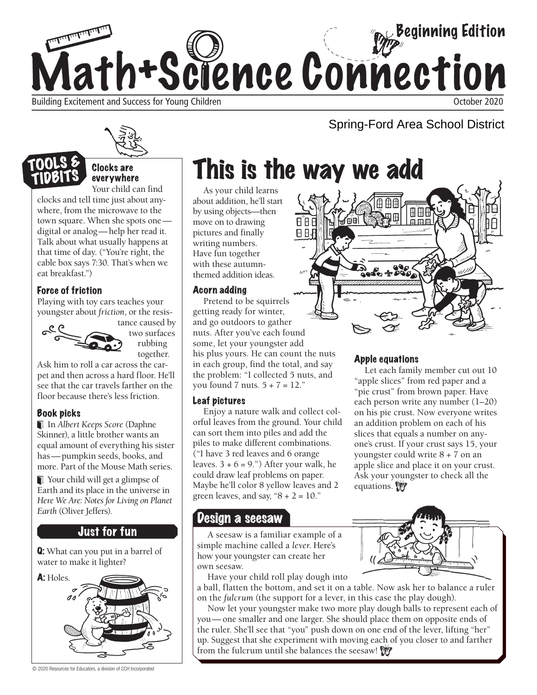

Building Excitement and Success for Young Children Children Children Children Children Children Children Children Children Children Children Children Children Children Children Children Children Children Children Children

Clocks are everywhere Your child can find

clocks and tell time just about anywhere, from the microwave to the town square. When she spots one digital or analog—help her read it. Talk about what usually happens at that time of day. ("You're right, the cable box says 7:30. That's when we eat breakfast.")

#### Force of friction

Playing with toy cars teaches your youngster about *friction*, or the resis-



tance caused by two surfaces rubbing together.

Ask him to roll a car across the carpet and then across a hard floor. He'll see that the car travels farther on the floor because there's less friction.

#### Book picks

 In *Albert Keeps Score* (Daphne Skinner), a little brother wants an equal amount of everything his sister has —pumpkin seeds, books, and more. Part of the Mouse Math series.

 Your child will get a glimpse of Earth and its place in the universe in *Here We Are: Notes for Living on Planet Earth* (Oliver Jeffers).

#### Just for fun

Q: What can you put in a barrel of water to make it lighter?



© 2020 Resources for Educators, a division of CCH Incorporated

# This is the way we add

As your child learns about addition, he'll start by using objects—then move on to drawing pictures and finally writing numbers. Have fun together with these autumnthemed addition ideas.

#### Acorn adding

Pretend to be squirrels getting ready for winter, and go outdoors to gather nuts. After you've each found some, let your youngster add his plus yours. He can count the nuts in each group, find the total, and say the problem: "I collected 5 nuts, and you found 7 nuts. 5 + 7 = 12."

#### Leaf pictures

Enjoy a nature walk and collect colorful leaves from the ground. Your child can sort them into piles and add the piles to make different combinations. ("I have 3 red leaves and 6 orange leaves.  $3 + 6 = 9$ .") After your walk, he could draw leaf problems on paper. Maybe he'll color 8 yellow leaves and 2 green leaves, and say, " $8 + 2 = 10$ ."

### Design a seesaw

A seesaw is a familiar example of a simple machine called a *lever*. Here's how your youngster can create her own seesaw.

Have your child roll play dough into

a ball, flatten the bottom, and set it on a table. Now ask her to balance a ruler on the *fulcrum* (the support for a lever, in this case the play dough).

Now let your youngster make two more play dough balls to represent each of you— one smaller and one larger. She should place them on opposite ends of the ruler. She'll see that "you" push down on one end of the lever, lifting "her" up. Suggest that she experiment with moving each of you closer to and farther from the fulcrum until she balances the seesaw!



Spring-Ford Area School District

#### Apple equations

Let each family member cut out 10 "apple slices" from red paper and a "pie crust" from brown paper. Have each person write any number (1–20) on his pie crust. Now everyone writes an addition problem on each of his slices that equals a number on anyone's crust. If your crust says 15, your youngster could write 8 + 7 on an apple slice and place it on your crust. Ask your youngster to check all the equations.